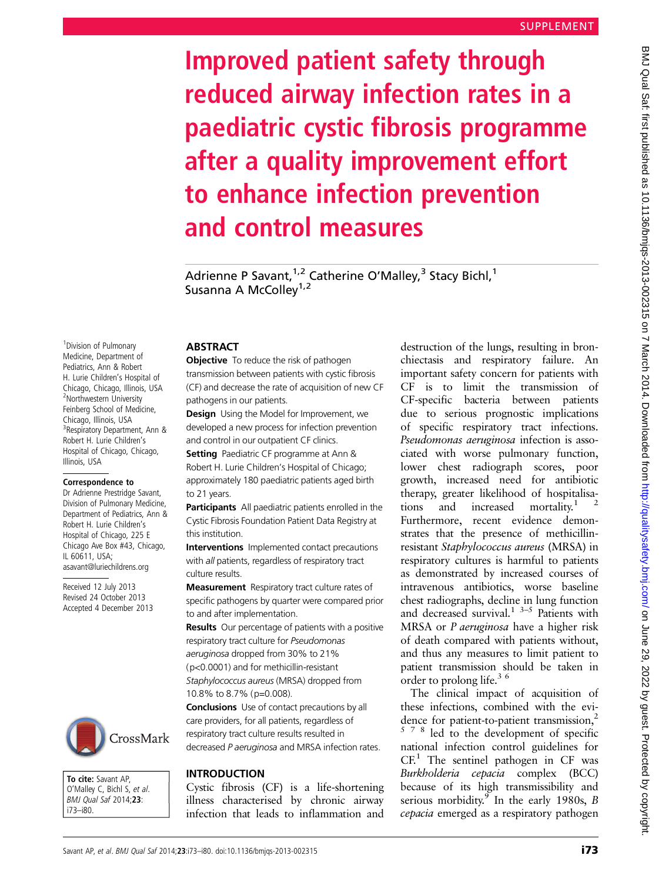# Improved patient safety through reduced airway infection rates in a paediatric cystic fibrosis programme after a quality improvement effort to enhance infection prevention and control measures

Adrienne P Savant, <sup>1,2</sup> Catherine O'Malley,<sup>3</sup> Stacy Bichl,<sup>1</sup> Susanna A McColley<sup>1,2</sup>

<sup>1</sup> Division of Pulmonary Medicine, Department of Pediatrics, Ann & Robert H. Lurie Children's Hospital of Chicago, Chicago, Illinois, USA <sup>2</sup>Northwestern University Feinberg School of Medicine, Chicago, Illinois, USA <sup>3</sup> Respiratory Department, Ann & Robert H. Lurie Children's Hospital of Chicago, Chicago, Illinois, USA

### Correspondence to

Dr Adrienne Prestridge Savant, Division of Pulmonary Medicine, Department of Pediatrics, Ann & Robert H. Lurie Children's Hospital of Chicago, 225 E Chicago Ave Box #43, Chicago, IL 60611, USA; asavant@luriechildrens.org

Received 12 July 2013 Revised 24 October 2013 Accepted 4 December 2013



To cite: Savant AP, O'Malley C, Bichl S, et al. BMJ Qual Saf 2014;23: i73–i80.

### **ABSTRACT**

**Objective** To reduce the risk of pathogen transmission between patients with cystic fibrosis (CF) and decrease the rate of acquisition of new CF pathogens in our patients.

**Design** Using the Model for Improvement, we developed a new process for infection prevention and control in our outpatient CF clinics.

Setting Paediatric CF programme at Ann & Robert H. Lurie Children's Hospital of Chicago; approximately 180 paediatric patients aged birth to 21 years.

Participants All paediatric patients enrolled in the Cystic Fibrosis Foundation Patient Data Registry at this institution.

Interventions Implemented contact precautions with all patients, regardless of respiratory tract culture results.

Measurement Respiratory tract culture rates of specific pathogens by quarter were compared prior to and after implementation.

**Results** Our percentage of patients with a positive respiratory tract culture for Pseudomonas aeruginosa dropped from 30% to 21% (p<0.0001) and for methicillin-resistant Staphylococcus aureus (MRSA) dropped from 10.8% to 8.7% (p=0.008).

Conclusions Use of contact precautions by all care providers, for all patients, regardless of respiratory tract culture results resulted in decreased P aeruginosa and MRSA infection rates.

Cystic fibrosis (CF) is a life-shortening illness characterised by chronic airway infection that leads to inflammation and

destruction of the lungs, resulting in bronchiectasis and respiratory failure. An important safety concern for patients with CF is to limit the transmission of CF-specific bacteria between patients due to serious prognostic implications of specific respiratory tract infections. Pseudomonas aeruginosa infection is associated with worse pulmonary function, lower chest radiograph scores, poor growth, increased need for antibiotic therapy, greater likelihood of hospitalisations and increased mortality.<sup>1</sup> Furthermore, recent evidence demonstrates that the presence of methicillinresistant Staphylococcus aureus (MRSA) in respiratory cultures is harmful to patients as demonstrated by increased courses of intravenous antibiotics, worse baseline chest radiographs, decline in lung function and decreased survival.<sup>1</sup>  $3-5$  Patients with MRSA or P aeruginosa have a higher risk of death compared with patients without, and thus any measures to limit patient to patient transmission should be taken in order to prolong life.<sup>36</sup>

The clinical impact of acquisition of these infections, combined with the evidence for patient-to-patient transmission,<sup>2</sup> <sup>578</sup> led to the development of specific national infection control guidelines for  $CF<sup>1</sup>$ . The sentinel pathogen in CF was Burkholderia cepacia complex (BCC) because of its high transmissibility and serious morbidity.<sup>9</sup> In the early 1980s, B cepacia emerged as a respiratory pathogen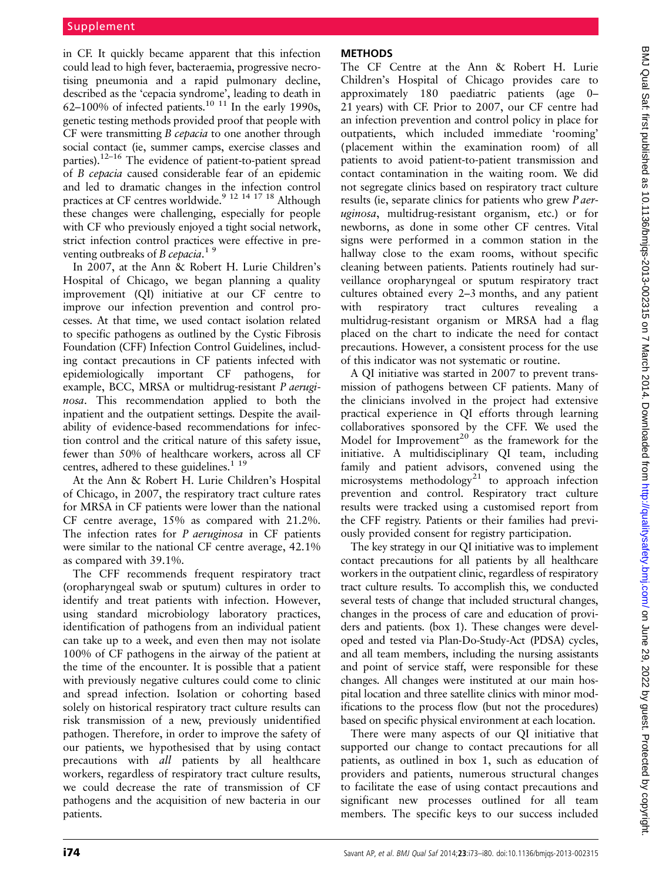in CF. It quickly became apparent that this infection could lead to high fever, bacteraemia, progressive necrotising pneumonia and a rapid pulmonary decline, described as the 'cepacia syndrome', leading to death in 62–100% of infected patients.<sup>10 11</sup> In the early 1990s, genetic testing methods provided proof that people with CF were transmitting B cepacia to one another through social contact (ie, summer camps, exercise classes and parties).12–<sup>16</sup> The evidence of patient-to-patient spread of B cepacia caused considerable fear of an epidemic and led to dramatic changes in the infection control practices at CF centres worldwide.9 12 14 17 18 Although these changes were challenging, especially for people with CF who previously enjoyed a tight social network, strict infection control practices were effective in preventing outbreaks of B cepacia.<sup>19</sup>

In 2007, at the Ann & Robert H. Lurie Children's Hospital of Chicago, we began planning a quality improvement (QI) initiative at our CF centre to improve our infection prevention and control processes. At that time, we used contact isolation related to specific pathogens as outlined by the Cystic Fibrosis Foundation (CFF) Infection Control Guidelines, including contact precautions in CF patients infected with epidemiologically important CF pathogens, for example, BCC, MRSA or multidrug-resistant P aeruginosa. This recommendation applied to both the inpatient and the outpatient settings. Despite the availability of evidence-based recommendations for infection control and the critical nature of this safety issue, fewer than 50% of healthcare workers, across all CF centres, adhered to these guidelines.<sup>1 19</sup>

At the Ann & Robert H. Lurie Children's Hospital of Chicago, in 2007, the respiratory tract culture rates for MRSA in CF patients were lower than the national CF centre average, 15% as compared with 21.2%. The infection rates for P *aeruginosa* in CF patients were similar to the national CF centre average, 42.1% as compared with 39.1%.

The CFF recommends frequent respiratory tract (oropharyngeal swab or sputum) cultures in order to identify and treat patients with infection. However, using standard microbiology laboratory practices, identification of pathogens from an individual patient can take up to a week, and even then may not isolate 100% of CF pathogens in the airway of the patient at the time of the encounter. It is possible that a patient with previously negative cultures could come to clinic and spread infection. Isolation or cohorting based solely on historical respiratory tract culture results can risk transmission of a new, previously unidentified pathogen. Therefore, in order to improve the safety of our patients, we hypothesised that by using contact precautions with all patients by all healthcare workers, regardless of respiratory tract culture results, we could decrease the rate of transmission of CF pathogens and the acquisition of new bacteria in our patients.

# **METHODS**

The CF Centre at the Ann & Robert H. Lurie Children's Hospital of Chicago provides care to approximately 180 paediatric patients (age 0– 21 years) with CF. Prior to 2007, our CF centre had an infection prevention and control policy in place for outpatients, which included immediate 'rooming' (placement within the examination room) of all patients to avoid patient-to-patient transmission and contact contamination in the waiting room. We did not segregate clinics based on respiratory tract culture results (ie, separate clinics for patients who grew P aeruginosa, multidrug-resistant organism, etc.) or for newborns, as done in some other CF centres. Vital signs were performed in a common station in the hallway close to the exam rooms, without specific cleaning between patients. Patients routinely had surveillance oropharyngeal or sputum respiratory tract cultures obtained every 2–3 months, and any patient with respiratory tract cultures revealing a multidrug-resistant organism or MRSA had a flag placed on the chart to indicate the need for contact precautions. However, a consistent process for the use of this indicator was not systematic or routine.

A QI initiative was started in 2007 to prevent transmission of pathogens between CF patients. Many of the clinicians involved in the project had extensive practical experience in QI efforts through learning collaboratives sponsored by the CFF. We used the Model for Improvement<sup>20</sup> as the framework for the initiative. A multidisciplinary QI team, including family and patient advisors, convened using the microsystems methodology<sup>21</sup> to approach infection prevention and control. Respiratory tract culture results were tracked using a customised report from the CFF registry. Patients or their families had previously provided consent for registry participation.

The key strategy in our QI initiative was to implement contact precautions for all patients by all healthcare workers in the outpatient clinic, regardless of respiratory tract culture results. To accomplish this, we conducted several tests of change that included structural changes, changes in the process of care and education of providers and patients. (box 1). These changes were developed and tested via Plan-Do-Study-Act (PDSA) cycles, and all team members, including the nursing assistants and point of service staff, were responsible for these changes. All changes were instituted at our main hospital location and three satellite clinics with minor modifications to the process flow (but not the procedures) based on specific physical environment at each location.

There were many aspects of our QI initiative that supported our change to contact precautions for all patients, as outlined in box 1, such as education of providers and patients, numerous structural changes to facilitate the ease of using contact precautions and significant new processes outlined for all team members. The specific keys to our success included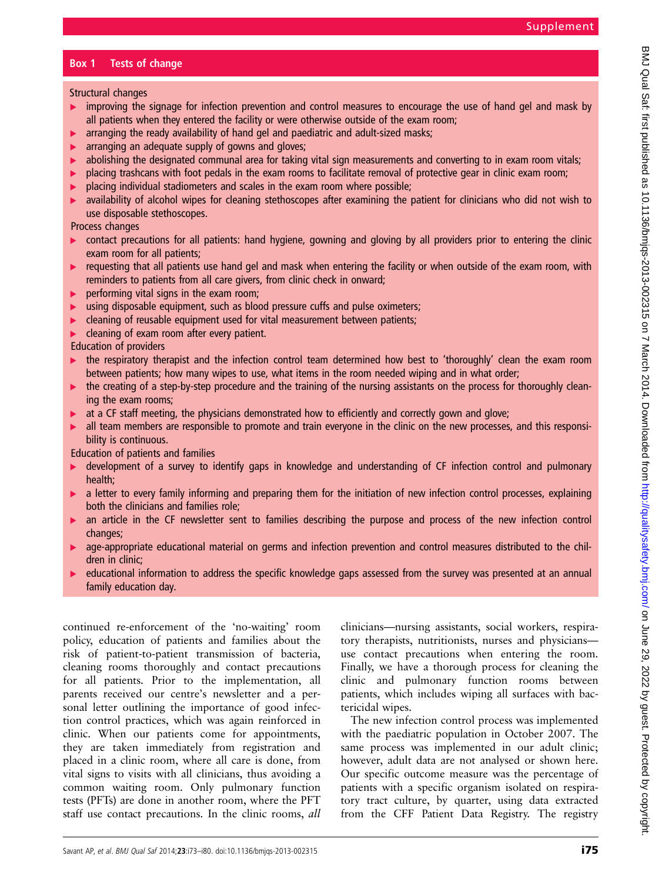## Box 1 Tests of change

Structural changes

- $\triangleright$  improving the signage for infection prevention and control measures to encourage the use of hand gel and mask by all patients when they entered the facility or were otherwise outside of the exam room;
- arranging the ready availability of hand gel and paediatric and adult-sized masks;
- ▸ arranging an adequate supply of gowns and gloves;
- $\triangleright$  abolishing the designated communal area for taking vital sign measurements and converting to in exam room vitals;
- $\triangleright$  placing trashcans with foot pedals in the exam rooms to facilitate removal of protective gear in clinic exam room;
- ▸ placing individual stadiometers and scales in the exam room where possible;
- availability of alcohol wipes for cleaning stethoscopes after examining the patient for clinicians who did not wish to use disposable stethoscopes.

Process changes

- $\triangleright$  contact precautions for all patients: hand hygiene, gowning and gloving by all providers prior to entering the clinic exam room for all patients;
- requesting that all patients use hand gel and mask when entering the facility or when outside of the exam room, with reminders to patients from all care givers, from clinic check in onward;
- performing vital signs in the exam room;
- **EXEDENT EXEDENT MUST LIST USING THE PROPERTY CONTEX** using disposable equipment, such as blood pressure cuffs and pulse oximeters;
- ▸ cleaning of reusable equipment used for vital measurement between patients;
- $\blacktriangleright$  cleaning of exam room after every patient.

Education of providers

- ▸ the respiratory therapist and the infection control team determined how best to 'thoroughly' clean the exam room between patients; how many wipes to use, what items in the room needed wiping and in what order;
- the creating of a step-by-step procedure and the training of the nursing assistants on the process for thoroughly cleaning the exam rooms;
- ▸ at a CF staff meeting, the physicians demonstrated how to efficiently and correctly gown and glove;
- **►** all team members are responsible to promote and train everyone in the clinic on the new processes, and this responsibility is continuous.

Education of patients and families

- ► development of a survey to identify gaps in knowledge and understanding of CF infection control and pulmonary health;
- a letter to every family informing and preparing them for the initiation of new infection control processes, explaining both the clinicians and families role;
- ▸ an article in the CF newsletter sent to families describing the purpose and process of the new infection control changes;
- age-appropriate educational material on germs and infection prevention and control measures distributed to the children in clinic;
- ▸ educational information to address the specific knowledge gaps assessed from the survey was presented at an annual family education day.

continued re-enforcement of the 'no-waiting' room policy, education of patients and families about the risk of patient-to-patient transmission of bacteria, cleaning rooms thoroughly and contact precautions for all patients. Prior to the implementation, all parents received our centre's newsletter and a personal letter outlining the importance of good infection control practices, which was again reinforced in clinic. When our patients come for appointments, they are taken immediately from registration and placed in a clinic room, where all care is done, from vital signs to visits with all clinicians, thus avoiding a common waiting room. Only pulmonary function tests (PFTs) are done in another room, where the PFT staff use contact precautions. In the clinic rooms, all clinicians—nursing assistants, social workers, respiratory therapists, nutritionists, nurses and physicians use contact precautions when entering the room. Finally, we have a thorough process for cleaning the clinic and pulmonary function rooms between patients, which includes wiping all surfaces with bactericidal wipes.

The new infection control process was implemented with the paediatric population in October 2007. The same process was implemented in our adult clinic; however, adult data are not analysed or shown here. Our specific outcome measure was the percentage of patients with a specific organism isolated on respiratory tract culture, by quarter, using data extracted from the CFF Patient Data Registry. The registry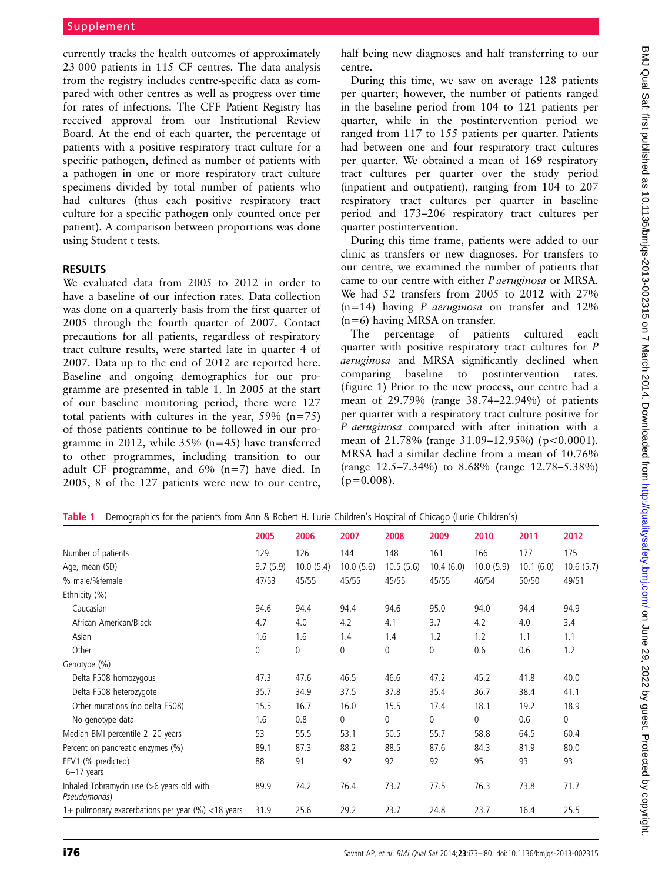currently tracks the health outcomes of approximately 23 000 patients in 115 CF centres. The data analysis from the registry includes centre-specific data as compared with other centres as well as progress over time for rates of infections. The CFF Patient Registry has received approval from our Institutional Review Board. At the end of each quarter, the percentage of patients with a positive respiratory tract culture for a specific pathogen, defined as number of patients with a pathogen in one or more respiratory tract culture specimens divided by total number of patients who had cultures (thus each positive respiratory tract culture for a specific pathogen only counted once per patient). A comparison between proportions was done using Student t tests.

We evaluated data from 2005 to 2012 in order to have a baseline of our infection rates. Data collection was done on a quarterly basis from the first quarter of 2005 through the fourth quarter of 2007. Contact precautions for all patients, regardless of respiratory tract culture results, were started late in quarter 4 of 2007. Data up to the end of 2012 are reported here. Baseline and ongoing demographics for our programme are presented in table 1. In 2005 at the start of our baseline monitoring period, there were 127 total patients with cultures in the year,  $59\%$  (n=75) of those patients continue to be followed in our programme in 2012, while 35% (n=45) have transferred to other programmes, including transition to our adult CF programme, and 6% (n=7) have died. In 2005, 8 of the 127 patients were new to our centre,

half being new diagnoses and half transferring to our centre.

During this time, we saw on average 128 patients per quarter; however, the number of patients ranged in the baseline period from 104 to 121 patients per quarter, while in the postintervention period we ranged from 117 to 155 patients per quarter. Patients had between one and four respiratory tract cultures per quarter. We obtained a mean of 169 respiratory tract cultures per quarter over the study period (inpatient and outpatient), ranging from 104 to 207 respiratory tract cultures per quarter in baseline period and 173–206 respiratory tract cultures per quarter postintervention.

During this time frame, patients were added to our clinic as transfers or new diagnoses. For transfers to our centre, we examined the number of patients that came to our centre with either P aeruginosa or MRSA. We had 52 transfers from 2005 to 2012 with 27%  $(n=14)$  having *P aeruginosa* on transfer and 12% (n=6) having MRSA on transfer.

The percentage of patients cultured each quarter with positive respiratory tract cultures for P aeruginosa and MRSA significantly declined when comparing baseline to postintervention rates. (figure 1) Prior to the new process, our centre had a mean of 29.79% (range 38.74–22.94%) of patients per quarter with a respiratory tract culture positive for P aeruginosa compared with after initiation with a mean of  $21.78\%$  (range  $31.09-12.95\%$ ) (p<0.0001). MRSA had a similar decline from a mean of 10.76% (range 12.5–7.34%) to 8.68% (range 12.78–5.38%)  $(p=0.008)$ .

|  |  | Table 1 Demographics for the patients from Ann & Robert H. Lurie Children's Hospital of Chicago (Lurie Children's) |
|--|--|--------------------------------------------------------------------------------------------------------------------|
|  |  |                                                                                                                    |

|                                                           | 2005     | 2006      | 2007      | 2008      | 2009      | 2010         | 2011      | 2012        |
|-----------------------------------------------------------|----------|-----------|-----------|-----------|-----------|--------------|-----------|-------------|
| Number of patients                                        | 129      | 126       | 144       | 148       | 161       | 166          | 177       | 175         |
| Age, mean (SD)                                            | 9.7(5.9) | 10.0(5.4) | 10.0(5.6) | 10.5(5.6) | 10.4(6.0) | 10.0(5.9)    | 10.1(6.0) | 10.6(5.7)   |
| % male/%female                                            | 47/53    | 45/55     | 45/55     | 45/55     | 45/55     | 46/54        | 50/50     | 49/51       |
| Ethnicity (%)                                             |          |           |           |           |           |              |           |             |
| Caucasian                                                 | 94.6     | 94.4      | 94.4      | 94.6      | 95.0      | 94.0         | 94.4      | 94.9        |
| African American/Black                                    | 4.7      | 4.0       | 4.2       | 4.1       | 3.7       | 4.2          | 4.0       | 3.4         |
| Asian                                                     | 1.6      | 1.6       | 1.4       | 1.4       | 1.2       | 1.2          | 1.1       | 1.1         |
| Other                                                     | 0        | 0         | 0         | 0         | 0         | 0.6          | 0.6       | 1.2         |
| Genotype (%)                                              |          |           |           |           |           |              |           |             |
| Delta F508 homozygous                                     | 47.3     | 47.6      | 46.5      | 46.6      | 47.2      | 45.2         | 41.8      | 40.0        |
| Delta F508 heterozygote                                   | 35.7     | 34.9      | 37.5      | 37.8      | 35.4      | 36.7         | 38.4      | 41.1        |
| Other mutations (no delta F508)                           | 15.5     | 16.7      | 16.0      | 15.5      | 17.4      | 18.1         | 19.2      | 18.9        |
| No genotype data                                          | 1.6      | 0.8       | 0         | 0         | 0         | $\mathbf{0}$ | 0.6       | $\mathbf 0$ |
| Median BMI percentile 2-20 years                          | 53       | 55.5      | 53.1      | 50.5      | 55.7      | 58.8         | 64.5      | 60.4        |
| Percent on pancreatic enzymes (%)                         | 89.1     | 87.3      | 88.2      | 88.5      | 87.6      | 84.3         | 81.9      | 80.0        |
| FEV1 (% predicted)<br>$6-17$ years                        | 88       | 91        | 92        | 92        | 92        | 95           | 93        | 93          |
| Inhaled Tobramycin use (>6 years old with<br>Pseudomonas) | 89.9     | 74.2      | 76.4      | 73.7      | 77.5      | 76.3         | 73.8      | 71.7        |
| 1+ pulmonary exacerbations per year (%) <18 years         | 31.9     | 25.6      | 29.2      | 23.7      | 24.8      | 23.7         | 16.4      | 25.5        |
|                                                           |          |           |           |           |           |              |           |             |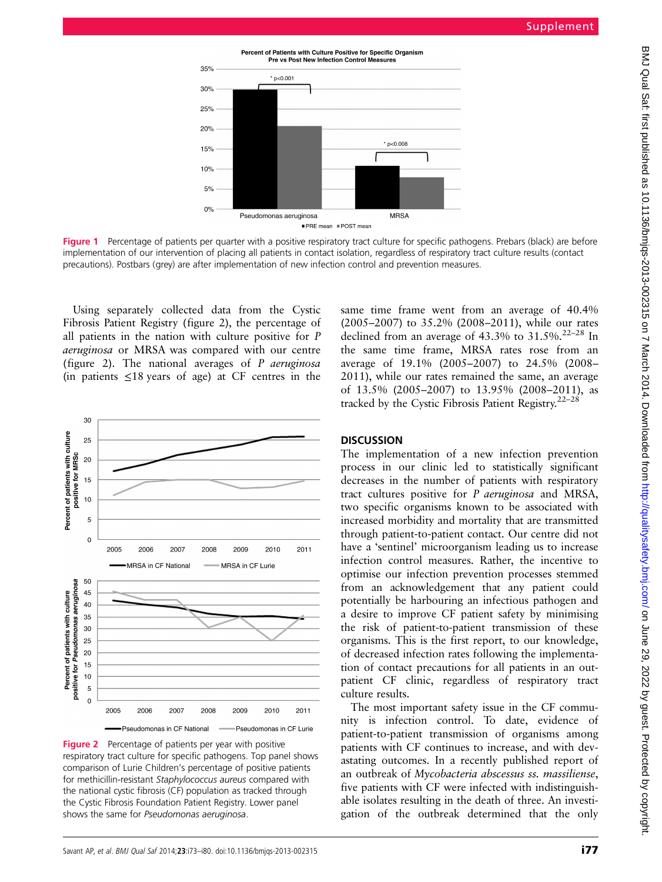Supplement



Figure 1 Percentage of patients per quarter with a positive respiratory tract culture for specific pathogens. Prebars (black) are before implementation of our intervention of placing all patients in contact isolation, regardless of respiratory tract culture results (contact precautions). Postbars (grey) are after implementation of new infection control and prevention measures.

Using separately collected data from the Cystic Fibrosis Patient Registry (figure 2), the percentage of all patients in the nation with culture positive for P aeruginosa or MRSA was compared with our centre (figure 2). The national averages of  $P$  aeruginosa (in patients  $\leq 18$  years of age) at CF centres in the



**Figure 2** Percentage of patients per year with positive respiratory tract culture for specific pathogens. Top panel shows comparison of Lurie Children's percentage of positive patients for methicillin-resistant Staphylococcus aureus compared with the national cystic fibrosis (CF) population as tracked through the Cystic Fibrosis Foundation Patient Registry. Lower panel shows the same for Pseudomonas aeruginosa.

same time frame went from an average of 40.4% (2005–2007) to 35.2% (2008–2011), while our rates declined from an average of  $43.3\%$  to  $31.5\%$ .<sup>22-28</sup> In the same time frame, MRSA rates rose from an average of 19.1% (2005–2007) to 24.5% (2008– 2011), while our rates remained the same, an average of 13.5% (2005–2007) to 13.95% (2008–2011), as tracked by the Cystic Fibrosis Patient Registry.<sup>22-28</sup>

The implementation of a new infection prevention process in our clinic led to statistically significant decreases in the number of patients with respiratory tract cultures positive for P aeruginosa and MRSA, two specific organisms known to be associated with increased morbidity and mortality that are transmitted through patient-to-patient contact. Our centre did not have a 'sentinel' microorganism leading us to increase infection control measures. Rather, the incentive to optimise our infection prevention processes stemmed from an acknowledgement that any patient could potentially be harbouring an infectious pathogen and a desire to improve CF patient safety by minimising the risk of patient-to-patient transmission of these organisms. This is the first report, to our knowledge, of decreased infection rates following the implementation of contact precautions for all patients in an outpatient CF clinic, regardless of respiratory tract culture results.

The most important safety issue in the CF community is infection control. To date, evidence of patient-to-patient transmission of organisms among patients with CF continues to increase, and with devastating outcomes. In a recently published report of an outbreak of Mycobacteria abscessus ss. massiliense, five patients with CF were infected with indistinguishable isolates resulting in the death of three. An investigation of the outbreak determined that the only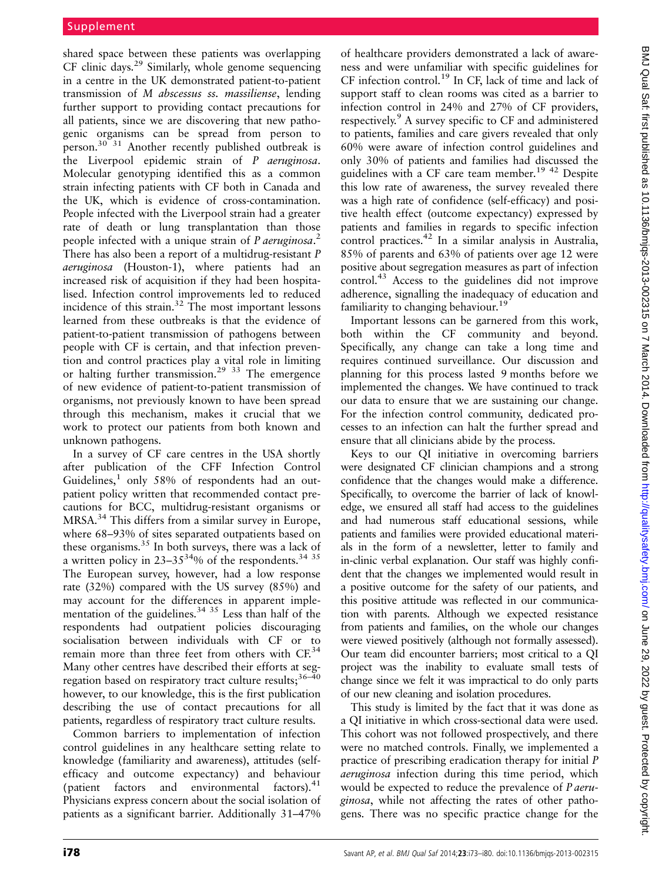shared space between these patients was overlapping  $CF$  clinic days.<sup>29</sup> Similarly, whole genome sequencing in a centre in the UK demonstrated patient-to-patient transmission of M abscessus ss. massiliense, lending further support to providing contact precautions for all patients, since we are discovering that new pathogenic organisms can be spread from person to person.<sup>30 $\frac{30^{31}}{1}$ </sup> Another recently published outbreak is the Liverpool epidemic strain of P aeruginosa. Molecular genotyping identified this as a common strain infecting patients with CF both in Canada and the UK, which is evidence of cross-contamination. People infected with the Liverpool strain had a greater rate of death or lung transplantation than those people infected with a unique strain of P aeruginosa.<sup>2</sup> There has also been a report of a multidrug-resistant P aeruginosa (Houston-1), where patients had an increased risk of acquisition if they had been hospitalised. Infection control improvements led to reduced incidence of this strain. $32$  The most important lessons learned from these outbreaks is that the evidence of patient-to-patient transmission of pathogens between people with CF is certain, and that infection prevention and control practices play a vital role in limiting or halting further transmission.<sup>29</sup>  $33$  The emergence of new evidence of patient-to-patient transmission of organisms, not previously known to have been spread through this mechanism, makes it crucial that we work to protect our patients from both known and unknown pathogens.

In a survey of CF care centres in the USA shortly after publication of the CFF Infection Control Guidelines, $<sup>1</sup>$  only 58% of respondents had an out-</sup> patient policy written that recommended contact precautions for BCC, multidrug-resistant organisms or MRSA.<sup>34</sup> This differs from a similar survey in Europe, where 68–93% of sites separated outpatients based on these organisms.<sup>35</sup> In both surveys, there was a lack of a written policy in  $23-35^{34}\%$  of the respondents.<sup>34 35</sup> The European survey, however, had a low response rate (32%) compared with the US survey (85%) and may account for the differences in apparent implementation of the guidelines.<sup>34 35</sup> Less than half of the respondents had outpatient policies discouraging socialisation between individuals with CF or to remain more than three feet from others with CF.<sup>34</sup> Many other centres have described their efforts at segregation based on respiratory tract culture results;<sup>36-40</sup> however, to our knowledge, this is the first publication describing the use of contact precautions for all patients, regardless of respiratory tract culture results.

Common barriers to implementation of infection control guidelines in any healthcare setting relate to knowledge (familiarity and awareness), attitudes (selfefficacy and outcome expectancy) and behaviour (patient factors and environmental factors).<sup>41</sup> Physicians express concern about the social isolation of patients as a significant barrier. Additionally 31–47%

of healthcare providers demonstrated a lack of awareness and were unfamiliar with specific guidelines for  $CF$  infection control.<sup>19</sup> In CF, lack of time and lack of support staff to clean rooms was cited as a barrier to infection control in 24% and 27% of CF providers, respectively.<sup>9</sup> A survey specific to CF and administered to patients, families and care givers revealed that only 60% were aware of infection control guidelines and only 30% of patients and families had discussed the guidelines with a CF care team member.<sup>19 42</sup> Despite this low rate of awareness, the survey revealed there was a high rate of confidence (self-efficacy) and positive health effect (outcome expectancy) expressed by patients and families in regards to specific infection control practices.<sup>42</sup> In a similar analysis in Australia, 85% of parents and 63% of patients over age 12 were positive about segregation measures as part of infection control.<sup>43</sup> Access to the guidelines did not improve adherence, signalling the inadequacy of education and familiarity to changing behaviour.<sup>19</sup>

Important lessons can be garnered from this work, both within the CF community and beyond. Specifically, any change can take a long time and requires continued surveillance. Our discussion and planning for this process lasted 9 months before we implemented the changes. We have continued to track our data to ensure that we are sustaining our change. For the infection control community, dedicated processes to an infection can halt the further spread and ensure that all clinicians abide by the process.

Keys to our QI initiative in overcoming barriers were designated CF clinician champions and a strong confidence that the changes would make a difference. Specifically, to overcome the barrier of lack of knowledge, we ensured all staff had access to the guidelines and had numerous staff educational sessions, while patients and families were provided educational materials in the form of a newsletter, letter to family and in-clinic verbal explanation. Our staff was highly confident that the changes we implemented would result in a positive outcome for the safety of our patients, and this positive attitude was reflected in our communication with parents. Although we expected resistance from patients and families, on the whole our changes were viewed positively (although not formally assessed). Our team did encounter barriers; most critical to a QI project was the inability to evaluate small tests of change since we felt it was impractical to do only parts of our new cleaning and isolation procedures.

This study is limited by the fact that it was done as a QI initiative in which cross-sectional data were used. This cohort was not followed prospectively, and there were no matched controls. Finally, we implemented a practice of prescribing eradication therapy for initial P aeruginosa infection during this time period, which would be expected to reduce the prevalence of *P aeru*ginosa, while not affecting the rates of other pathogens. There was no specific practice change for the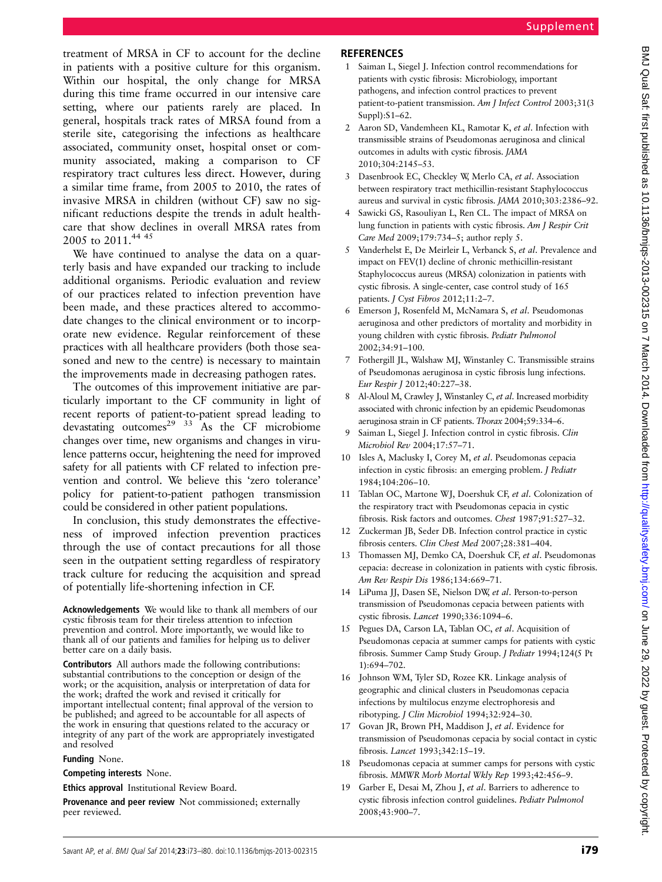treatment of MRSA in CF to account for the decline in patients with a positive culture for this organism. Within our hospital, the only change for MRSA during this time frame occurred in our intensive care setting, where our patients rarely are placed. In general, hospitals track rates of MRSA found from a sterile site, categorising the infections as healthcare associated, community onset, hospital onset or community associated, making a comparison to CF respiratory tract cultures less direct. However, during a similar time frame, from 2005 to 2010, the rates of invasive MRSA in children (without CF) saw no significant reductions despite the trends in adult healthcare that show declines in overall MRSA rates from 2005 to 2011.<sup>44 45</sup>

We have continued to analyse the data on a quarterly basis and have expanded our tracking to include additional organisms. Periodic evaluation and review of our practices related to infection prevention have been made, and these practices altered to accommodate changes to the clinical environment or to incorporate new evidence. Regular reinforcement of these practices with all healthcare providers (both those seasoned and new to the centre) is necessary to maintain the improvements made in decreasing pathogen rates.

The outcomes of this improvement initiative are particularly important to the CF community in light of recent reports of patient-to-patient spread leading to devastating outcomes<sup>29</sup> <sup>33</sup> As the CF microbiome changes over time, new organisms and changes in virulence patterns occur, heightening the need for improved safety for all patients with CF related to infection prevention and control. We believe this 'zero tolerance' policy for patient-to-patient pathogen transmission could be considered in other patient populations.

In conclusion, this study demonstrates the effectiveness of improved infection prevention practices through the use of contact precautions for all those seen in the outpatient setting regardless of respiratory track culture for reducing the acquisition and spread of potentially life-shortening infection in CF.

Acknowledgements We would like to thank all members of our cystic fibrosis team for their tireless attention to infection prevention and control. More importantly, we would like to thank all of our patients and families for helping us to deliver better care on a daily basis.

Contributors All authors made the following contributions: substantial contributions to the conception or design of the work; or the acquisition, analysis or interpretation of data for the work; drafted the work and revised it critically for important intellectual content; final approval of the version to be published; and agreed to be accountable for all aspects of the work in ensuring that questions related to the accuracy or integrity of any part of the work are appropriately investigated and resolved

### Funding None.

Competing interests None.

Ethics approval Institutional Review Board.

Provenance and peer review Not commissioned; externally peer reviewed.

### **REFERENCES**

- 1 Saiman L, Siegel J. Infection control recommendations for patients with cystic fibrosis: Microbiology, important pathogens, and infection control practices to prevent patient-to-patient transmission. Am J Infect Control 2003;31(3 Suppl):S1–62.
- 2 Aaron SD, Vandemheen KL, Ramotar K, et al. Infection with transmissible strains of Pseudomonas aeruginosa and clinical outcomes in adults with cystic fibrosis. JAMA 2010;304:2145–53.
- 3 Dasenbrook EC, Checkley W, Merlo CA, et al. Association between respiratory tract methicillin-resistant Staphylococcus aureus and survival in cystic fibrosis. JAMA 2010;303:2386–92.
- 4 Sawicki GS, Rasouliyan L, Ren CL. The impact of MRSA on lung function in patients with cystic fibrosis. Am J Respir Crit Care Med 2009;179:734–5; author reply 5.
- 5 Vanderhelst E, De Meirleir L, Verbanck S, et al. Prevalence and impact on FEV(1) decline of chronic methicillin-resistant Staphylococcus aureus (MRSA) colonization in patients with cystic fibrosis. A single-center, case control study of 165 patients. J Cyst Fibros 2012;11:2–7.
- Emerson J, Rosenfeld M, McNamara S, et al. Pseudomonas aeruginosa and other predictors of mortality and morbidity in young children with cystic fibrosis. Pediatr Pulmonol 2002;34:91–100.
- 7 Fothergill JL, Walshaw MJ, Winstanley C. Transmissible strains of Pseudomonas aeruginosa in cystic fibrosis lung infections. Eur Respir J 2012;40:227–38.
- 8 Al-Aloul M, Crawley J, Winstanley C, et al. Increased morbidity associated with chronic infection by an epidemic Pseudomonas aeruginosa strain in CF patients. Thorax 2004;59:334–6.
- Saiman L, Siegel J. Infection control in cystic fibrosis. Clin Microbiol Rev 2004;17:57–71.
- 10 Isles A, Maclusky I, Corey M, et al. Pseudomonas cepacia infection in cystic fibrosis: an emerging problem. J Pediatr 1984;104:206–10.
- 11 Tablan OC, Martone WJ, Doershuk CF, et al. Colonization of the respiratory tract with Pseudomonas cepacia in cystic fibrosis. Risk factors and outcomes. Chest 1987;91:527–32.
- 12 Zuckerman JB, Seder DB. Infection control practice in cystic fibrosis centers. Clin Chest Med 2007;28:381–404.
- 13 Thomassen MJ, Demko CA, Doershuk CF, et al. Pseudomonas cepacia: decrease in colonization in patients with cystic fibrosis. Am Rev Respir Dis 1986;134:669–71.
- 14 LiPuma JJ, Dasen SE, Nielson DW, et al. Person-to-person transmission of Pseudomonas cepacia between patients with cystic fibrosis. Lancet 1990;336:1094–6.
- 15 Pegues DA, Carson LA, Tablan OC, et al. Acquisition of Pseudomonas cepacia at summer camps for patients with cystic fibrosis. Summer Camp Study Group. J Pediatr 1994;124(5 Pt 1):694–702.
- 16 Johnson WM, Tyler SD, Rozee KR. Linkage analysis of geographic and clinical clusters in Pseudomonas cepacia infections by multilocus enzyme electrophoresis and ribotyping. J Clin Microbiol 1994;32:924–30.
- 17 Govan JR, Brown PH, Maddison J, et al. Evidence for transmission of Pseudomonas cepacia by social contact in cystic fibrosis. Lancet 1993;342:15–19.
- 18 Pseudomonas cepacia at summer camps for persons with cystic fibrosis. MMWR Morb Mortal Wkly Rep 1993;42:456–9.
- 19 Garber E, Desai M, Zhou J, et al. Barriers to adherence to cystic fibrosis infection control guidelines. Pediatr Pulmonol 2008;43:900–7.